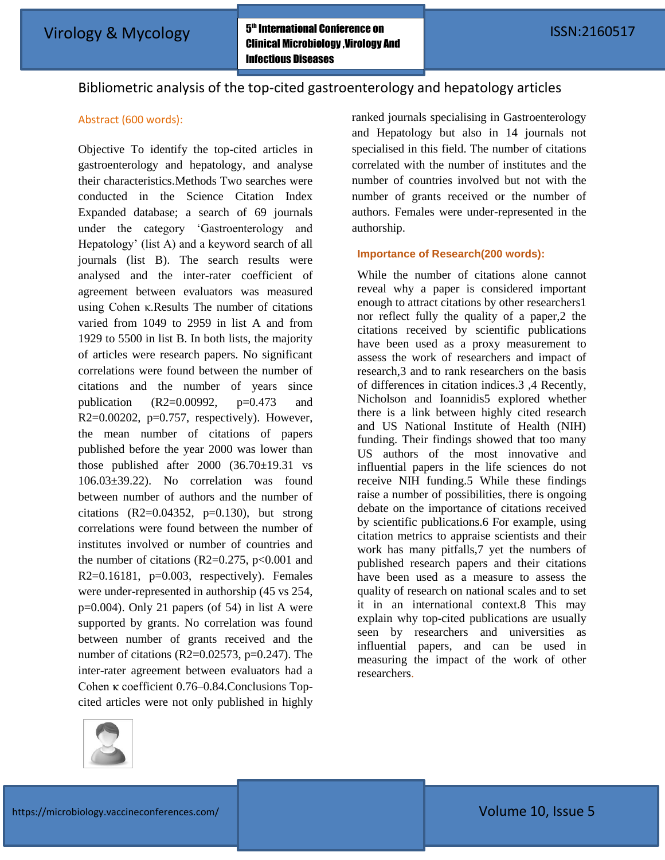# Bibliometric analysis of the top-cited gastroenterology and hepatology articles

## Abstract (600 words):

Objective To identify the top-cited articles in gastroenterology and hepatology, and analyse their characteristics.Methods Two searches were conducted in the Science Citation Index Expanded database; a search of 69 journals under the category "Gastroenterology and Hepatology" (list A) and a keyword search of all journals (list B). The search results were analysed and the inter-rater coefficient of agreement between evaluators was measured using Cohen κ.Results The number of citations varied from 1049 to 2959 in list A and from 1929 to 5500 in list B. In both lists, the majority of articles were research papers. No significant correlations were found between the number of citations and the number of years since publication  $(R2=0.00992, p=0.473$  and R2= $0.00202$ , p= $0.757$ , respectively). However, the mean number of citations of papers published before the year 2000 was lower than those published after 2000 (36.70±19.31 vs 106.03±39.22). No correlation was found between number of authors and the number of citations  $(R2=0.04352, p=0.130)$ , but strong correlations were found between the number of institutes involved or number of countries and the number of citations (R2=0.275,  $p<0.001$  and  $R2=0.16181$ ,  $p=0.003$ , respectively). Females were under-represented in authorship (45 vs 254, p=0.004). Only 21 papers (of 54) in list A were supported by grants. No correlation was found between number of grants received and the number of citations (R2= $0.02573$ , p= $0.247$ ). The inter-rater agreement between evaluators had a Cohen κ coefficient 0.76–0.84.Conclusions Topcited articles were not only published in highly



ranked journals specialising in Gastroenterology and Hepatology but also in 14 journals not specialised in this field. The number of citations correlated with the number of institutes and the number of countries involved but not with the number of grants received or the number of authors. Females were under-represented in the authorship.

### **Importance of Research(200 words):**

While the number of citations alone cannot reveal why a paper is considered important enough to attract citations by other researchers1 nor reflect fully the quality of a paper,2 the citations received by scientific publications have been used as a proxy measurement to assess the work of researchers and impact of research,3 and to rank researchers on the basis of differences in citation indices.3 ,4 Recently, Nicholson and Ioannidis5 explored whether there is a link between highly cited research and US National Institute of Health (NIH) funding. Their findings showed that too many US authors of the most innovative and influential papers in the life sciences do not receive NIH funding.5 While these findings raise a number of possibilities, there is ongoing debate on the importance of citations received by scientific publications.6 For example, using citation metrics to appraise scientists and their work has many pitfalls,7 yet the numbers of published research papers and their citations have been used as a measure to assess the quality of research on national scales and to set it in an international context.8 This may explain why top-cited publications are usually seen by researchers and universities as influential papers, and can be used in measuring the impact of the work of other researchers.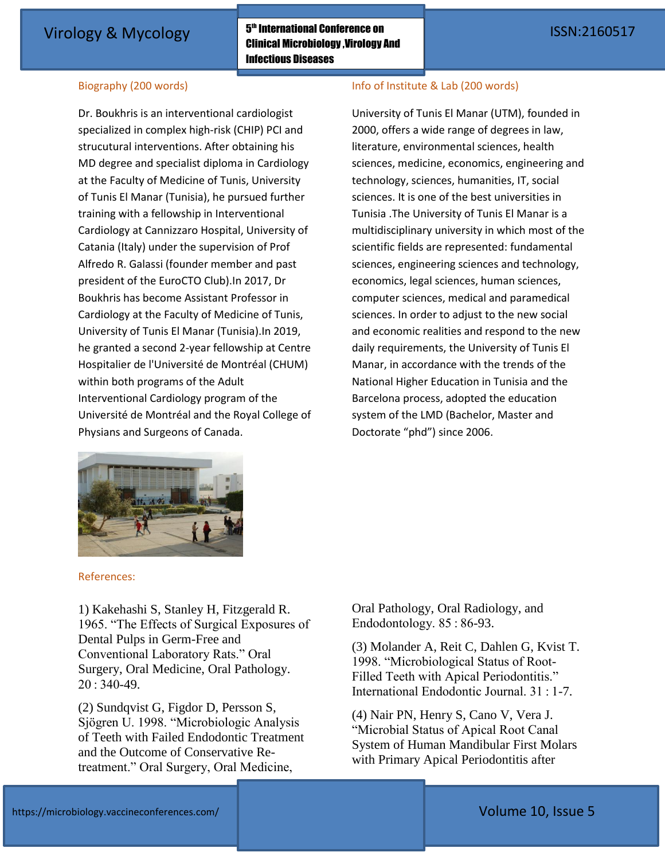$\boldsymbol{5^{\text{th}}}$  International Conference on Clinical Microbiology ,Virology And Infectious Diseases Virology & Mycology **International Conference on**<br>
The Hotel Contract of Tensor International Conference on Tensor International Conference on International Conference on International Conference on International Conferenc

## Biography (200 words)

Dr. Boukhris is an interventional cardiologist specialized in complex high-risk (CHIP) PCI and strucutural interventions. After obtaining his MD degree and specialist diploma in Cardiology at the Faculty of Medicine of Tunis, University of Tunis El Manar (Tunisia), he pursued further training with a fellowship in Interventional Cardiology at Cannizzaro Hospital, University of Catania (Italy) under the supervision of Prof Alfredo R. Galassi (founder member and past president of the EuroCTO Club).In 2017, Dr Boukhris has become Assistant Professor in Cardiology at the Faculty of Medicine of Tunis, University of Tunis El Manar (Tunisia).In 2019, he granted a second 2-year fellowship at Centre Hospitalier de l'Université de Montréal (CHUM) within both programs of the Adult Interventional Cardiology program of the Université de Montréal and the Royal College of Physians and Surgeons of Canada.

### Info of Institute & Lab (200 words)

University of Tunis El Manar (UTM), founded in 2000, offers a wide range of degrees in law, literature, environmental sciences, health sciences, medicine, economics, engineering and technology, sciences, humanities, IT, social sciences. It is one of the best universities in Tunisia .The University of Tunis El Manar is a multidisciplinary university in which most of the scientific fields are represented: fundamental sciences, engineering sciences and technology, economics, legal sciences, human sciences, computer sciences, medical and paramedical sciences. In order to adjust to the new social and economic realities and respond to the new daily requirements, the University of Tunis El Manar, in accordance with the trends of the National Higher Education in Tunisia and the Barcelona process, adopted the education system of the LMD (Bachelor, Master and Doctorate "phd") since 2006.



### References:

1) Kakehashi S, Stanley H, Fitzgerald R. 1965. "The Effects of Surgical Exposures of Dental Pulps in Germ-Free and Conventional Laboratory Rats." Oral Surgery, Oral Medicine, Oral Pathology. 20 : 340-49.

(2) Sundqvist G, Figdor D, Persson S, Sjögren U. 1998. "Microbiologic Analysis of Teeth with Failed Endodontic Treatment and the Outcome of Conservative Retreatment." Oral Surgery, Oral Medicine,

Oral Pathology, Oral Radiology, and Endodontology. 85 : 86-93.

(3) Molander A, Reit C, Dahlen G, Kvist T. 1998. "Microbiological Status of Root-Filled Teeth with Apical Periodontitis." International Endodontic Journal. 31 : 1-7.

(4) Nair PN, Henry S, Cano V, Vera J. "Microbial Status of Apical Root Canal System of Human Mandibular First Molars with Primary Apical Periodontitis after